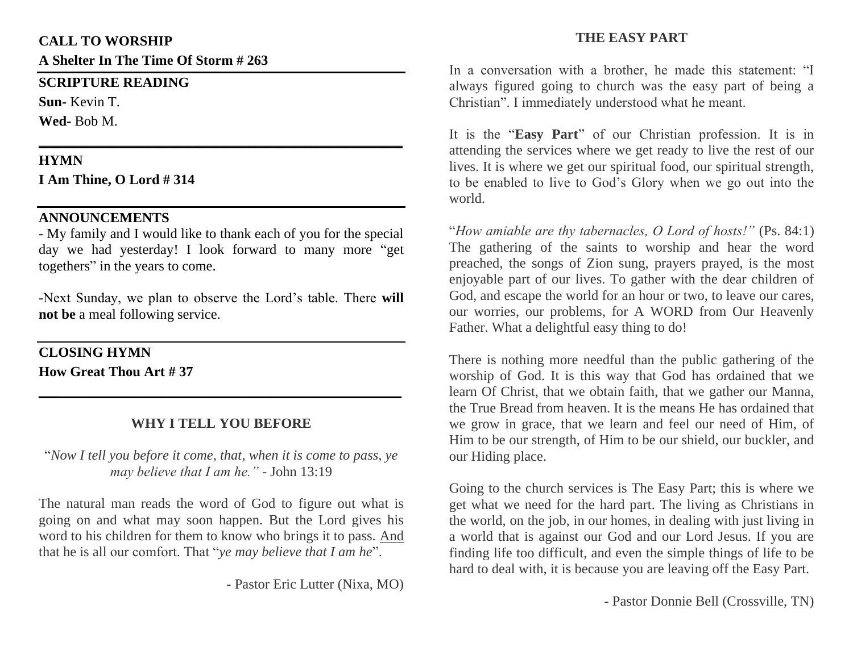#### **CALL TO WORSHIP**

**A Shelter In The Time Of Storm # 263**

#### **SCRIPTURE READING**

**Sun-** Kevin T. **Wed-** Bob M.

### **HYMN**

**I Am Thine, O Lord # 314**

## **ANNOUNCEMENTS**

- My family and I would like to thank each of you for the special day we had yesterday! I look forward to many more "get togethers" in the years to come.

**\_\_\_\_\_\_\_\_\_\_\_\_\_\_\_\_\_\_\_\_\_\_\_\_\_\_\_\_\_\_\_\_\_\_\_\_\_\_\_\_\_\_\_\_\_\_\_\_\_\_\_\_**

-Next Sunday, we plan to observe the Lord's table. There **will not be** a meal following service.

## **CLOSING HYMN**

**How Great Thou Art # 37**

# **WHY I TELL YOU BEFORE**

**\_\_\_\_\_\_\_\_\_\_\_\_\_\_\_\_\_\_\_\_\_\_\_\_\_\_\_\_\_\_\_\_\_\_\_\_\_\_\_\_\_\_\_\_\_\_\_\_\_\_**

"*Now I tell you before it come, that, when it is come to pass, ye may believe that I am he."* - John 13:19

The natural man reads the word of God to figure out what is going on and what may soon happen. But the Lord gives his word to his children for them to know who brings it to pass. And that he is all our comfort. That "*ye may believe that I am he*".

- Pastor Eric Lutter (Nixa, MO)

## **THE EASY PART**

In a conversation with a brother, he made this statement: "I always figured going to church was the easy part of being a Christian". I immediately understood what he meant.

It is the "**Easy Part**" of our Christian profession. It is in attending the services where we get ready to live the rest of our lives. It is where we get our spiritual food, our spiritual strength, to be enabled to live to God's Glory when we go out into the world.

"*How amiable are thy tabernacles, O Lord of hosts!"* (Ps. 84:1) The gathering of the saints to worship and hear the word preached, the songs of Zion sung, prayers prayed, is the most enjoyable part of our lives. To gather with the dear children of God, and escape the world for an hour or two, to leave our cares, our worries, our problems, for A WORD from Our Heavenly Father. What a delightful easy thing to do!

There is nothing more needful than the public gathering of the worship of God. It is this way that God has ordained that we learn Of Christ, that we obtain faith, that we gather our Manna, the True Bread from heaven. It is the means He has ordained that we grow in grace, that we learn and feel our need of Him, of Him to be our strength, of Him to be our shield, our buckler, and our Hiding place.

Going to the church services is The Easy Part; this is where we get what we need for the hard part. The living as Christians in the world, on the job, in our homes, in dealing with just living in a world that is against our God and our Lord Jesus. If you are finding life too difficult, and even the simple things of life to be hard to deal with, it is because you are leaving off the Easy Part.

- Pastor Donnie Bell (Crossville, TN)